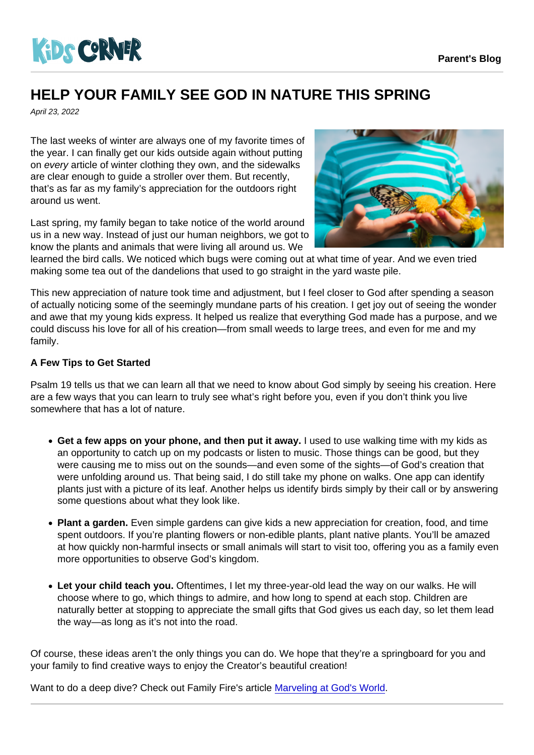## HELP YOUR FAMILY SEE GOD IN NATURE THIS SPRING

April 23, 2022

The last weeks of winter are always one of my favorite times of the year. I can finally get our kids outside again without putting on every article of winter clothing they own, and the sidewalks are clear enough to guide a stroller over them. But recently, that's as far as my family's appreciation for the outdoors right around us went.

Last spring, my family began to take notice of the world around us in a new way. Instead of just our human neighbors, we got to know the plants and animals that were living all around us. We learned the bird calls. We noticed which bugs were coming out at what time of year. And we even tried making some tea out of the dandelions that used to go straight in the yard waste pile.

This new appreciation of nature took time and adjustment, but I feel closer to God after spending a season of actually noticing some of the seemingly mundane parts of his creation. I get joy out of seeing the wonder and awe that my young kids express. It helped us realize that everything God made has a purpose, and we could discuss his love for all of his creation—from small weeds to large trees, and even for me and my family.

## A Few Tips to Get Started

Psalm 19 tells us that we can learn all that we need to know about God simply by seeing his creation. Here are a few ways that you can learn to truly see what's right before you, even if you don't think you live somewhere that has a lot of nature.

- Get a few apps on your phone, and then put it away. I used to use walking time with my kids as an opportunity to catch up on my podcasts or listen to music. Those things can be good, but they were causing me to miss out on the sounds—and even some of the sights—of God's creation that were unfolding around us. That being said, I do still take my phone on walks. One app can identify plants just with a picture of its leaf. Another helps us identify birds simply by their call or by answering some questions about what they look like.
- Plant a garden. Even simple gardens can give kids a new appreciation for creation, food, and time spent outdoors. If you're planting flowers or non-edible plants, plant native plants. You'll be amazed at how quickly non-harmful insects or small animals will start to visit too, offering you as a family even more opportunities to observe God's kingdom.
- Let your child teach you. Oftentimes, I let my three-year-old lead the way on our walks. He will choose where to go, which things to admire, and how long to spend at each stop. Children are naturally better at stopping to appreciate the small gifts that God gives us each day, so let them lead the way—as long as it's not into the road.

Of course, these ideas aren't the only things you can do. We hope that they're a springboard for you and your family to find creative ways to enjoy the Creator's beautiful creation!

Want to do a deep dive? Check out Family Fire's article [Marveling at God's World](https://familyfire.com/articles/marveling-at-gods-world).